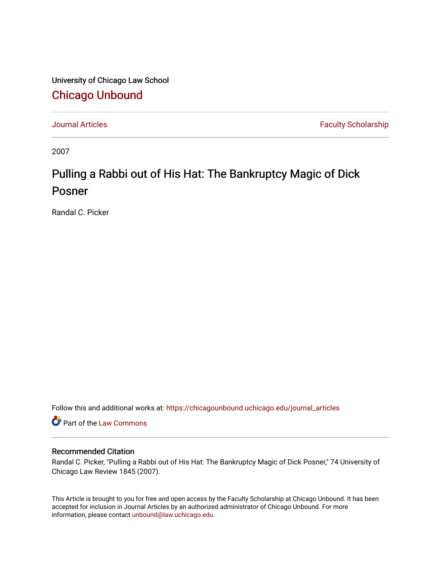University of Chicago Law School [Chicago Unbound](https://chicagounbound.uchicago.edu/)

[Journal Articles](https://chicagounbound.uchicago.edu/journal_articles) **Faculty Scholarship Faculty Scholarship** 

2007

# Pulling a Rabbi out of His Hat: The Bankruptcy Magic of Dick Posner

Randal C. Picker

Follow this and additional works at: [https://chicagounbound.uchicago.edu/journal\\_articles](https://chicagounbound.uchicago.edu/journal_articles?utm_source=chicagounbound.uchicago.edu%2Fjournal_articles%2F1707&utm_medium=PDF&utm_campaign=PDFCoverPages) 

Part of the [Law Commons](http://network.bepress.com/hgg/discipline/578?utm_source=chicagounbound.uchicago.edu%2Fjournal_articles%2F1707&utm_medium=PDF&utm_campaign=PDFCoverPages)

### Recommended Citation

Randal C. Picker, "Pulling a Rabbi out of His Hat: The Bankruptcy Magic of Dick Posner," 74 University of Chicago Law Review 1845 (2007).

This Article is brought to you for free and open access by the Faculty Scholarship at Chicago Unbound. It has been accepted for inclusion in Journal Articles by an authorized administrator of Chicago Unbound. For more information, please contact [unbound@law.uchicago.edu](mailto:unbound@law.uchicago.edu).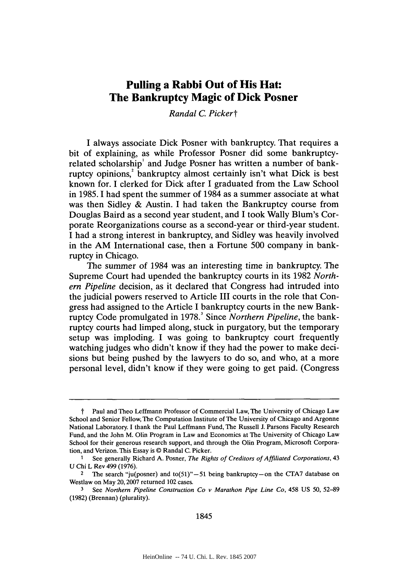## **Pulling a Rabbi Out of His Hat: The Bankruptcy Magic of Dick Posner**

*Randal C Pickert*

**I** always associate Dick Posner with bankruptcy. That requires a bit of explaining, as while Professor Posner did some bankruptcyrelated scholarship' and Judge Posner has written a number of bankruptcy opinions,' bankruptcy almost certainly isn't what Dick is best known for. **I** clerked for Dick after **I** graduated from the Law School in **1985.** I had spent the summer of 1984 as a summer associate at what was then Sidley **&** Austin. **I** had taken the Bankruptcy course from Douglas Baird as a second year student, and **I** took Wally Blum's Corporate Reorganizations course as a second-year or third-year student. **I** had a strong interest in bankruptcy, and Sidley was heavily involved in the AM International case, then a Fortune **500** company in bankruptcy in Chicago.

The summer of 1984 was an interesting time in bankruptcy. The Supreme Court had upended the bankruptcy courts in its **1982** *Northern Pipeline* decision, as it declared that Congress had intruded into the judicial powers reserved to Article III courts in the role that Congress had assigned to the Article **I** bankruptcy courts in the new Bankruptcy Code promulgated in **1978.'** Since *Northern Pipeline,* the bankruptcy courts had limped along, stuck in purgatory, but the temporary setup was imploding. **I** was going to bankruptcy court frequently watching judges who didn't know if they had the power to make decisions but being pushed **by** the lawyers to do so, and who, at a more personal level, didn't know if they were going to get paid. (Congress

t Paul and Theo Leffmann Professor of Commercial Law, The University of Chicago Law School and Senior Fellow, The Computation Institute of The University of Chicago and Argonne National Laboratory. I thank the Paul Leffmann Fund, The Russell **J.** Parsons Faculty Research Fund, and the John M. Olin Program in Law and Economics at The University of Chicago Law School for their generous research support, and through the Olin Program, Microsoft Corporation, and Verizon. This Essay is @ Randal **C.** Picker.

<sup>&</sup>lt;sup>1</sup> See generally Richard A. Posner, *The Rights of Creditors of Affiliated Corporations*, 43 **U** Chi L Rev 499 **(1976).**

<sup>&</sup>lt;sup>2</sup> The search "ju(posner) and to(51)" $-51$  being bankruptcy-on the CTA7 database on Westlaw on May **20,2007** returned 102 cases.

**<sup>3</sup>** See *Northern Pipeline Construction Co v Marathon Pipe Line Co,* 458 **US 50, 52-89 (1982)** (Brennan) (plurality).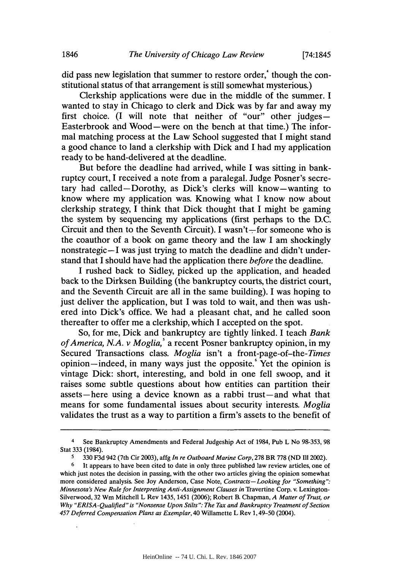did pass new legislation that summer to restore order, though the constitutional status of that arrangement is still somewhat mysterious.)

Clerkship applications were due in the middle of the summer. **I** wanted to stay in Chicago to clerk and Dick was **by** far and away my first choice. **(I will note that neither of "our" other judges-**Easterbrook and Wood-were on the bench at that time.) The informal matching process at the Law School suggested that **I** might stand a good chance to land a clerkship with Dick and **I** had my application ready to be hand-delivered at the deadline.

But before the deadline had arrived, while **I** was sitting in bankruptcy court, I received a note from a paralegal. Judge Posner's secretary had called-Dorothy, as Dick's clerks will know-wanting to know where my application was. Knowing what I know now about clerkship strategy, **I** think that Dick thought that I might be gaming the system **by** sequencing my applications (first perhaps to the **D.C.** Circuit and then to the Seventh Circuit). I wasn't-for someone who is the coauthor of a book on game theory and the law **I** am shockingly nonstrategic-I was just trying to match the deadline and didn't understand that **I** should have had the application there *before* the deadline.

**I** rushed back to Sidley, picked up the application, and headed back to the Dirksen Building (the bankruptcy courts, the district court, and the Seventh Circuit are all in the same building). **I** was hoping to just deliver the application, but **I** was told to wait, and then was ushered into Dick's office. We had a pleasant chat, and he called soon thereafter to offer me a clerkship, which **I** accepted on the spot.

So, for me, Dick and bankruptcy are tightly linked. **I** teach *Bank of America, N.A. v Moglia,5* a recent Posner bankruptcy opinion, in my Secured Transactions class. *Moglia* isn't a front-page-of-the-Times opinion-indeed, in many ways just the opposite.! Yet the opinion is vintage Dick: short, interesting, and bold in one fell swoop, and it raises some subtle questions about how entities can partition their assets-here using a device known as a rabbi trust-and what that means for some fundamental issues about security interests. *Moglia* validates the trust as a way to partition a firm's assets to the benefit of

<sup>4</sup> See Bankruptcy Amendments and Federal Judgeship Act of 1984, Pub L No **98-353, 98** Stat **333** (1984).

**<sup>5 330</sup> F3d** 942 (7th Cir **2003),** affg *In* **re Outboard Marine Corp, 278** BR **778 (ND** 1112002).

It appears to have been cited to date in only three published law review articles, one of which just notes the decision in passing, with the other two articles giving the opinion somewhat more considered analysis. See Joy Anderson, Case Note, *Contracts-Looking for "Something":* Minnesota's New Rule for Interpreting Anti-Assignment Clauses in **Travertine Corp. v.** Lexington-Silverwood, **32** Wm Mitchell L Rev 1435, 1451 **(2006);** Robert B. Chapman, **A** Matter of Trust, or **Why** "ERISA-Qualified" is "Nonsense Upon Stilts": The Tax and Bankruptcy Treatment of Section *457* Deferred Compensation **Plans** *as Exemplar,* 40 Willamette L Rev **1,** 49-50 (2004).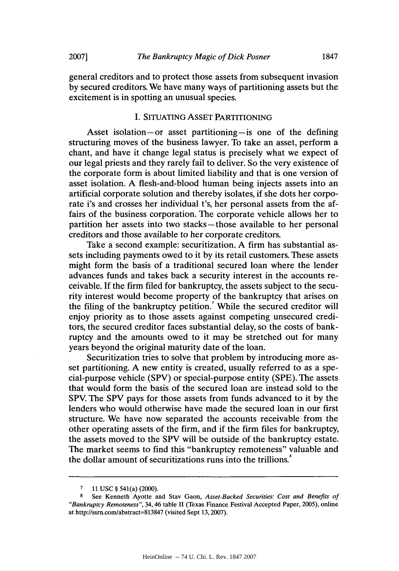general creditors and to protect those assets from subsequent invasion **by** secured creditors. We have many ways of partitioning assets but the excitement is in spotting an unusual species.

#### **I. SITUATING** ASSET PARTITIONING

Asset isolation-or asset partitioning-is one of the defining structuring moves of the business lawyer. To take an asset, perform a chant, and have it change legal status is precisely what we expect of our legal priests and they rarely fail to deliver. So the very existence of the corporate form is about limited liability and that is one version of asset isolation. **A** flesh-and-blood human being injects assets into an artificial corporate solution and thereby isolates, if she dots her corporate i's and crosses her individual t's, her personal assets from the affairs of the business corporation. The corporate vehicle allows her to partition her assets into two stacks-those available to her personal creditors and those available to her corporate creditors.

Take a second example: securitization. **A** firm has substantial assets including payments owed to it **by** its retail customers. These assets might form the basis of a traditional secured loan where the lender advances funds and takes back a security interest in the accounts receivable. **If** the firm filed for bankruptcy, the assets subject to the security interest would become property of the bankruptcy that arises on the filing of the bankruptcy petition.<sup>7</sup> While the secured creditor will enjoy priority as to those assets against competing unsecured creditors, the secured creditor faces substantial delay, so the costs of bankruptcy and the amounts owed to it may be stretched out for many years beyond the original maturity date of the loan.

Securitization tries to solve that problem **by** introducing more asset partitioning. **A** new entity is created, usually referred to as a special-purpose vehicle (SPV) or special-purpose entity **(SPE).** The assets that would form the basis of the secured loan are instead sold to the SPV. The SPV pays for those assets from funds advanced to it **by** the lenders who would otherwise have made the secured loan in our first structure. We have now separated the accounts receivable from the other operating assets of the firm, and if the firm files for bankruptcy, the assets moved to the SPV will be outside of the bankruptcy estate. The market seems to find this "bankruptcy remoteness" valuable and the dollar amount of securitizations runs into the trillions.'

**<sup>7 11</sup> USC** *§* 541(a) (2000).

**<sup>8</sup>**See Kenneth Ayotte and Stay Gaon, *Asset-Backed Securities: Cost and Benefits of "Bankruptcy Remoteness",* 34, 46 table II (Texas Finance Festival Accepted Paper, **2005),** online at http://ssm.comlabstract=813847 (visited Sept **13,2007).**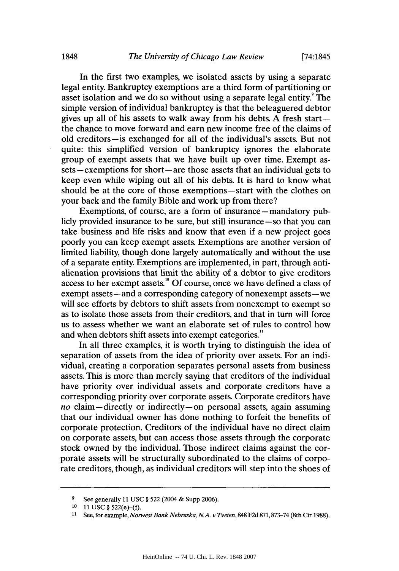In the first two examples, we isolated assets **by** using a separate legal entity. Bankruptcy exemptions are a third form of partitioning or asset isolation and we do so without using a separate legal entity. The simple version of individual bankruptcy is that the beleaguered debtor gives up all of his assets to walk away from his debts. **A** fresh startthe chance to move forward and earn new income free of the claims of old creditors-is exchanged for all of the individual's assets. But not quite: this simplified version of bankruptcy ignores the elaborate group of exempt assets that we have built up over time. Exempt assets **-** exemptions for short **-** are those assets that an individual gets to keep even while wiping out all of his debts. It is hard to know what should be at the core of those exemptions-start with the clothes on your back and the family Bible and work up from there?

Exemptions, of course, are a form of insurance - mandatory publicly provided insurance to be sure, but still insurance **-so** that you can take business and life risks and know that even if a new project goes poorly you can keep exempt assets. Exemptions are another version of limited liability, though done largely automatically and without the use of a separate entity. Exemptions are implemented, in part, through antialienation provisions that limit the ability of a debtor to give creditors access to her exempt assets.<sup>10</sup> Of course, once we have defined a class of exempt assets **-** and a corresponding category of nonexempt assets **-** we will see efforts **by** debtors to shift assets from nonexempt to exempt so as to isolate those assets from their creditors, and that in turn will force us to assess whether we want an elaborate set of rules to control how and when debtors shift assets into exempt categories.<sup>"</sup>

In all three examples, it is worth trying to distinguish the idea of separation of assets from the idea of priority over assets. For an individual, creating a corporation separates personal assets from business assets. This is more than merely saying that creditors of the individual have priority over individual assets and corporate creditors have a corresponding priority over corporate assets. Corporate creditors have *no* claim-directly or indirectly-on personal assets, again assuming that our individual owner has done nothing to forfeit the benefits of corporate protection. Creditors of the individual have no direct claim on corporate assets, but can access those assets through the corporate stock owned **by** the individual. Those indirect claims against the corporate assets will be structurally subordinated to the claims of corporate creditors, though, as individual creditors will step into the shoes of

**<sup>9</sup> See generally 11 USC § 522** (2004 **& Supp 2006).**

**<sup>10</sup> 11 USC § 522(e)-(f).**

**<sup>11</sup> See, for example,** *Norwest Bank Nebraska, N.A. v Tveten,* **848 F2d 871,873-74** (8th **Cir 1988).**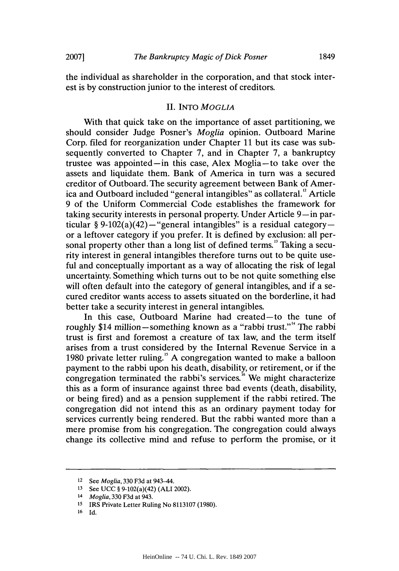the individual as shareholder in the corporation, and that stock interest is **by** construction junior to the interest of creditors.

#### **II.** *INTO MOGLIA*

With that quick take on the importance of asset partitioning, we should consider Judge Posner's *Moglia* opinion. Outboard Marine Corp. filed for reorganization under Chapter **11** but its case was subsequently converted to Chapter **7,** and in Chapter **7,** a bankruptcy trustee was appointed-in this case, Alex Moglia-to take over the assets and liquidate them. Bank of America in turn was a secured creditor of Outboard. The security agreement between Bank of America and Outboard included "general intangibles" as collateral." Article **9** of the Uniform Commercial Code establishes the framework for taking security interests in personal property. Under Article **9-in** particular  $\S 9-102(a)(42)$ -"general intangibles" is a residual categoryor a leftover category if you prefer. It is defined **by** exclusion: all personal property other than a long list of defined terms." Taking a security interest in general intangibles therefore turns out to be quite useful and conceptually important as a way of allocating the risk of legal uncertainty. Something which turns out to be not quite something else will often default into the category of general intangibles, and if a secured creditor wants access to assets situated on the borderline, it had better take a security interest in general intangibles.

In this case, Outboard Marine had created-to the tune of roughly \$14 million-something known as a "rabbi trust."" The rabbi trust is first and foremost a creature of tax law, and the term itself arises from a trust considered **by** the Internal Revenue Service in a **1980** private letter ruling." **A** congregation wanted to make a balloon payment to the rabbi upon his death, disability, or retirement, or if the congregation terminated the rabbi's services.<sup>16</sup> We might characterize this as a form of insurance against three bad events (death, disability, or being fired) and as a pension supplement if the rabbi retired. The congregation did not intend this as an ordinary payment today for services currently being rendered. But the rabbi wanted more than a mere promise from his congregation. The congregation could always change its collective mind and refuse to perform the promise, or it

**<sup>12</sup>***See Moglia,* **330 F3d** at 943-44.

**<sup>13</sup>**See **UCC** *§* 9-102(a)(42) **(ALI** 2002).

<sup>14</sup>*Moglia,* **330 F3d** at 943.

**<sup>15</sup>**IRS Private Letter Ruling No **8113107 (1980).**

**<sup>16</sup> Id.**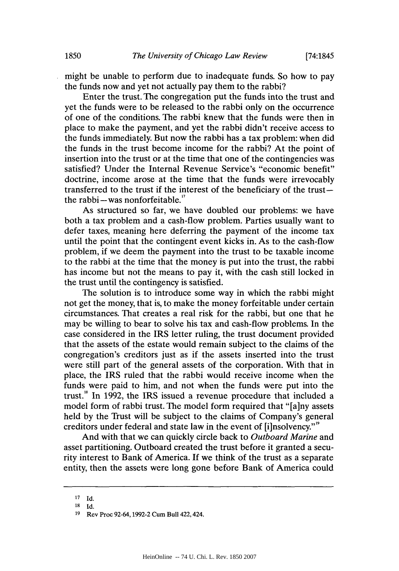might be unable to perform due to inadequate funds. So how to pay the funds now and yet not actually pay them to the rabbi?

Enter the trust. The congregation put the funds into the trust and yet the funds were to be released to the rabbi only on the occurrence of one of the conditions. The rabbi knew that the funds were then in place to make the payment, and yet the rabbi didn't receive access to the funds immediately. But now the rabbi has a tax problem: when did the funds in the trust become income for the rabbi? At the point of insertion into the trust or at the time that one of the contingencies was satisfied? Under the Internal Revenue Service's "economic benefit" doctrine, income arose at the time that the funds were irrevocably transferred to the trust if the interest of the beneficiary of the trustthe rabbi $-$ was nonforfeitable."

As structured so far, we have doubled our problems: we have both a tax problem and a cash-flow problem. Parties usually want to defer taxes, meaning here deferring the payment of the income tax until the point that the contingent event kicks in. As to the cash-flow problem, if we deem the payment into the trust to be taxable income to the rabbi at the time that the money is put into the trust, the rabbi has income but not the means to pay it, with the cash still locked in the trust until the contingency is satisfied.

The solution is to introduce some way in which the rabbi might not get the money, that is, to make the money forfeitable under certain circumstances. That creates a real risk for the rabbi, but one that he may be willing to bear to solve his tax and cash-flow problems. In the case considered in the IRS letter ruling, the trust document provided that the assets of the estate would remain subject to the claims of the congregation's creditors just as if the assets inserted into the trust were still part of the general assets of the corporation. With that in place, the IRS ruled that the rabbi would receive income when the funds were paid to him, and not when the funds were put into the trust." In **1992,** the IRS issued a revenue procedure that included a model form of rabbi trust. The model form required that "[a]ny assets held **by** the Trust will be subject to the claims of Company's general creditors under federal and state law in the event of [i]nsolvency."<sup>9</sup>

And with that we can quickly circle back to *Outboard Marine and* asset partitioning. Outboard created the trust before it granted a security interest to Bank of America. **If** we think of the trust as a separate entity, then the assets were long gone before Bank of America could

**<sup>17</sup> Id.**

**<sup>18</sup> Id.**

**<sup>19</sup>Rev Proc 92-64, 1992-2 Cum Bull 422,424.**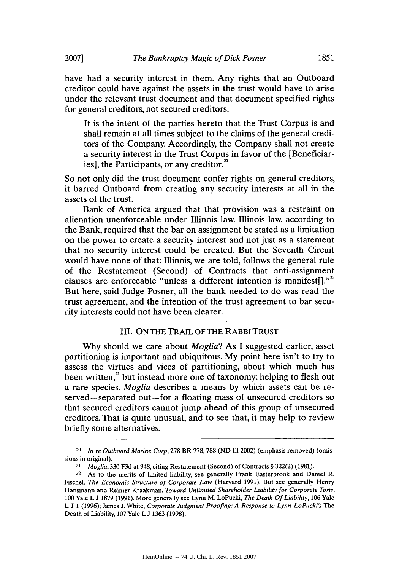have had a security interest in them. Any rights that an Outboard creditor could have against the assets in the trust would have to arise under the relevant trust document and that document specified rights for general creditors, not secured creditors:

It is the intent of the parties hereto that the Trust Corpus is and shall remain at all times subject to the claims of the general creditors of the Company. Accordingly, the Company shall not create a security interest in the Trust Corpus in favor of the [Beneficiaries], the Participants, or any creditor.<sup>20</sup>

So not only did the trust document confer rights on general creditors, it barred Outboard from creating any security interests at all in the assets of the trust.

Bank of America argued that that provision was a restraint on alienation unenforceable under Illinois law. Illinois law, according to the Bank, required that the bar on assignment be stated as a limitation on the power to create a security interest and not just as a statement that no security interest could be created. But the Seventh Circuit would have none of that: Illinois, we are told, follows the general rule of the Restatement (Second) of Contracts that anti-assignment clauses are enforceable "unless a different intention is manifest[]." But here, said Judge Posner, all the bank needed to do was read the trust agreement, and the intention of the trust agreement to bar security interests could not have been clearer.

#### III. **ON THE TRAIL OF THE RABBI TRUST**

**Why** should we care about *Moglia? As* **I** suggested earlier, asset partitioning is important and ubiquitous. **My** point here isn't to try to assess the virtues and vices of partitioning, about which much has been written,<sup>2</sup> but instead more one of taxonomy: helping to flesh out a rare species. *Moglia* describes a means **by** which assets can be reserved-separated out-for a floating mass of unsecured creditors so that secured creditors cannot jump ahead of this group of unsecured creditors. That is quite unusual, and to see that, it may help to review briefly some alternatives.

**<sup>20</sup>** In re Outboard Marine Corp, **278** BR **778, 788 (ND** Ill 2002) (emphasis removed) (omissions in original).

**<sup>21</sup>**Moglia, **330 F3d** at 948, citing Restatement (Second) of Contracts *§* **322(2) (1981).**

**<sup>22</sup>**As to the merits of limited liability, see generally Frank Easterbrook and Daniel R. Fischel, The Economic Structure of Corporate Law (Harvard **1991).** But see generally Henry Hansmann and Reinier Kraakman, Toward Unlimited Shareholder Liability for Corporate Torts, **100** Yale L **J 1879 (1991).** More generally see Lynn M. LoPucki, The Death **Of** Liability, **106** Yale L **J 1 (1996);** James **J.** White, Corporate Judgment Proofing: **A** Response to Lynn LoPucki's *The* Death of Liability, **107** Yale L **J 1363 (1998).**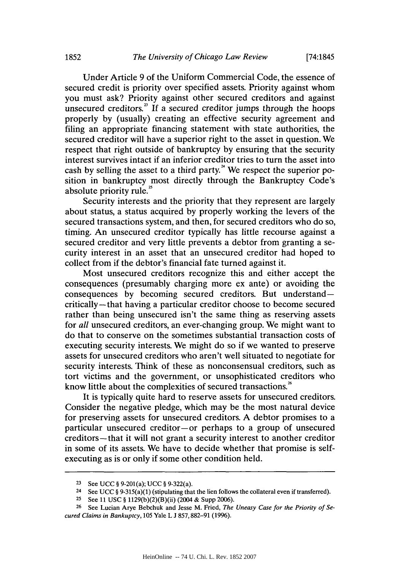Under Article **9** of the Uniform Commercial Code, the essence of secured credit is priority over specified assets. Priority against whom you must ask? Priority against other secured creditors and against unsecured creditors. $\frac{3}{1}$  If a secured creditor jumps through the hoops properly **by** (usually) creating an effective security agreement and filing an appropriate financing statement with state authorities, the secured creditor will have a superior right to the asset in question. We respect that right outside of bankruptcy **by** ensuring that the security interest survives intact if an inferior creditor tries to turn the asset into cash by selling the asset to a third party.<sup>24</sup> We respect the superior position in bankruptcy most directly through the Bankruptcy Code's absolute priority rule.<sup>24</sup>

Security interests and the priority that they represent are largely about status, a status acquired **by** properly working the levers of the secured transactions system, and then, for secured creditors who do so, timing. An unsecured creditor typically has little recourse against a secured creditor and very little prevents a debtor from granting a security interest in an asset that an unsecured creditor had hoped to collect from if the debtor's financial fate turned against it.

Most unsecured creditors recognize this and either accept the consequences (presumably charging more ex ante) or avoiding the consequences **by** becoming secured creditors. But understandcritically-that having a particular creditor choose to become secured rather than being unsecured isn't the same thing as reserving assets for *all* unsecured creditors, an ever-changing group. We might want to do that to conserve on the sometimes substantial transaction costs of executing security interests. We might do so if we wanted to preserve assets for unsecured creditors who aren't well situated to negotiate for security interests. Think of these as nonconsensual creditors, such as tort victims and the government, or unsophisticated creditors who know little about the complexities of secured transactions.<sup>26</sup>

It is typically quite hard to reserve assets for unsecured creditors. Consider the negative pledge, which may be the most natural device for preserving assets for unsecured creditors. **A** debtor promises to a particular unsecured creditor-or perhaps to a group of unsecured creditors-that it will not grant a security interest to another creditor in some of its assets. We have to decide whether that promise is selfexecuting as is or only if some other condition held.

**<sup>23</sup>**See **UCC §** 9-201(a); UCC § 9-322(a).

<sup>24</sup> See UCC  $\S 9-315(a)(1)$  (stipulating that the lien follows the collateral even if transferred).

**<sup>25</sup>**See **11 USC §** 1129(b)(2)(B)(ii) (2004 **&** Supp **2006).**

**<sup>26</sup>** See Lucian Arye Bebchuk and Jesse M. Fried, *The Uneasy Case for the Priority of Secured Clains in Bankuptcy, 105* Yale L **J 857,882-91 (1996).**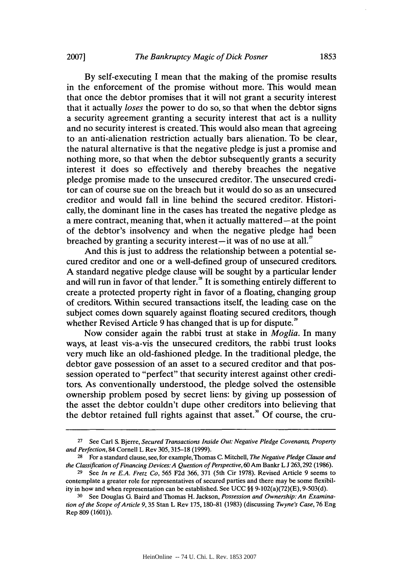**By** self-executing **I** mean that the making of the promise results in the enforcement of the promise without more. This would mean that once the debtor promises that it will not grant a security interest that it actually *loses* the power to do so, so that when the debtor signs a security agreement granting a security interest that act is a nullity and no security interest is created. This would also mean that agreeing to an anti-alienation restriction actually bars alienation. To be clear, the natural alternative is that the negative pledge is just a promise and nothing more, so that when the debtor subsequently grants a security interest it does so effectively and thereby breaches the negative pledge promise made to the unsecured creditor. The unsecured creditor can of course sue on the breach but it would do so as an unsecured creditor and would fall in line behind the secured creditor. Historically, the dominant line in the cases has treated the negative pledge as a mere contract, meaning that, when it actually mattered **-at** the point of the debtor's insolvency and when the negative pledge had been breached **by** granting a security interest-it was of no use at all."

And this is just to address the relationship between a potential secured creditor and one or a well-defined group of unsecured creditors. **A** standard negative pledge clause will be sought **by** a particular lender and will run in favor of that lender. $^{\text{26}}$  It is something entirely different to create a protected property right in favor of a floating, changing group of creditors. Within secured transactions itself, the leading case on the subject comes down squarely against floating secured creditors, though whether Revised Article 9 has changed that is up for dispute.<sup>2</sup>

Now consider again the rabbi trust at stake in *Moglia.* In many ways, at least vis-a-vis the unsecured creditors, the rabbi trust looks very much like an old-fashioned pledge. In the traditional pledge, the debtor gave possession of an asset to a secured creditor and that possession operated to "perfect" that security interest against other creditors. As conventionally understood, the pledge solved the ostensible ownership problem posed **by** secret liens: **by** giving up possession of the asset the debtor couldn't dupe other creditors into believing that the debtor retained full rights against that asset.<sup>30</sup> Of course, the cru-

**<sup>27</sup>**See Carl **S.** Bjerre, *Secured Transactions Inside Out: Negative Pledge Covenants, Property and Perfection,* 84 Cornell L Rev **305,315-18 (1999).**

**<sup>28</sup>**For a standard clause, see, for example, Thomas **C.** Mitchell, *The Negative Pledge Clause and the Classification of Financing Devices:A Question of Perspective,60Am* Bankr L **J 263,292 (1986).**

**<sup>29</sup>**See *In re E.A. Fretz Co,* **565 F2d 366, 371** (5th Cir **1978).** Revised Article **9** seems to contemplate a greater role for representatives of secured parties and there may be some flexibility in how and when representation can be established. See **UCC** *§§* 9-102(a)(72)(E), **9-503(d).**

**<sup>30</sup>** See Douglas **G.** Baird and Thomas H. Jackson, *Possession and Ownership: An Examination of the Scope ofArticle 9,* **35** Stan L Rev **175, 180-81 (1983)** (discussing *Twyne's Case,* **76** Eng Rep **809 (1601)).**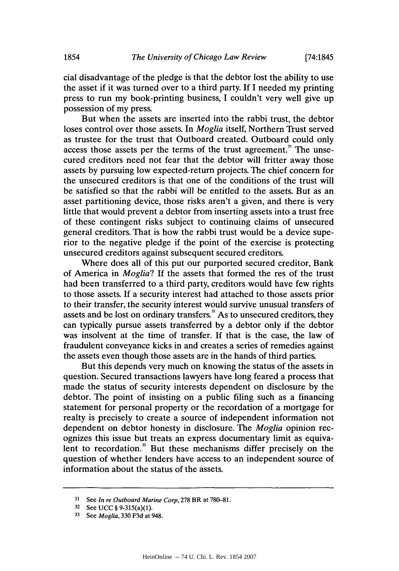cial disadvantage of the pledge is that the debtor lost the ability to use the asset if it was turned over to a third party. **If I** needed my printing press to run my book-printing business, **I** couldn't very well give up possession of my press.

But when the assets are inserted into the rabbi trust, the debtor loses control over those assets. In *Moglia* itself, Northern Trust served as trustee for the trust that Outboard created. Outboard could only access those assets per the terms of the trust agreement." The unsecured creditors need not fear that the debtor will fritter away those assets **by** pursuing low expected-return projects. The chief concern for the unsecured creditors is that one of the conditions of the trust will be satisfied so that the rabbi will be entitled to the assets. But as an asset partitioning device, those risks aren't a given, and there is very little that would prevent a debtor from inserting assets into a trust free of these contingent risks subject to continuing claims of unsecured general creditors. That is how the rabbi trust would be a device superior to the negative pledge if the point of the exercise is protecting unsecured creditors against subsequent secured creditors.

Where does all of this put our purported secured creditor, Bank of America in *Moglia?* **If** the assets that formed the res of the trust had been transferred to a third party, creditors would have few rights to those assets. **If** a security interest had attached to those assets prior to their transfer, the security interest would survive unusual transfers of assets and be lost on ordinary transfers.<sup>32</sup> As to unsecured creditors, they can typically pursue assets transferred **by** a debtor only if the debtor was insolvent at the time of transfer. **If** that is the case, the law of fraudulent conveyance kicks in and creates a series of remedies against the assets even though those assets are in the hands of third parties.

But this depends very much on knowing the status of the assets in question. Secured transactions lawyers have long feared a process that made the status of security interests dependent on disclosure **by** the debtor. The point of insisting on a public filing such as a financing statement for personal property or the recordation of a mortgage for realty is precisely to create a source of independent information not dependent on debtor honesty in disclosure. The *Moglia* opinion recognizes this issue but treats an express documentary limit as equivalent to recordation." But these mechanisms differ precisely on the question of whether lenders have access to an independent source of information about the status of the assets.

**<sup>31</sup>**See **In re Outboard Marine Corp, 278** BR **at 780-81.**

**<sup>32</sup>**See **UCC §** 9-315(a)(1).

**<sup>33</sup>**See **Moglia, 330 F3d at** 948.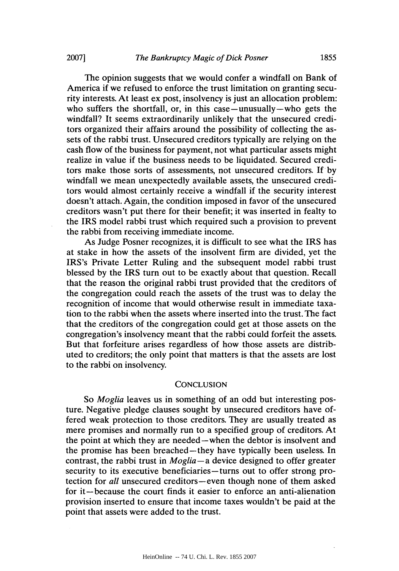The opinion suggests that we would confer a windfall on Bank of America if we refused to enforce the trust limitation on granting security interests. At least ex post, insolvency is just an allocation problem: who suffers the shortfall, or, in this case—unusually—who gets the windfall? It seems extraordinarily unlikely that the unsecured creditors organized their affairs around the possibility of collecting the assets of the rabbi trust. Unsecured creditors typically are relying on the cash flow of the business for payment, not what particular assets might realize in value if the business needs to be liquidated. Secured creditors make those sorts of assessments, not unsecured creditors. **If by** windfall we mean unexpectedly available assets, the unsecured creditors would almost certainly receive a windfall if the security interest doesn't attach. Again, the condition imposed in favor of the unsecured creditors wasn't put there for their benefit; it was inserted in fealty to the IRS model rabbi trust which required such a provision to prevent the rabbi from receiving immediate income.

As Judge Posner recognizes, it is difficult to see what the IRS has at stake in how the assets of the insolvent firm are divided, yet the IRS's Private Letter Ruling and the subsequent model rabbi trust blessed **by** the IRS turn out to be exactly about that question. Recall that the reason the original rabbi trust provided that the creditors of the congregation could reach the assets of the trust was to delay the recognition of income that would otherwise result in immediate taxation to the rabbi when the assets where inserted into the trust. The fact that the creditors of the congregation could get at those assets on the congregation's insolvency meant that the rabbi could forfeit the assets. But that forfeiture arises regardless of how those assets are distributed to creditors; the only point that matters is that the assets are lost to the rabbi on insolvency.

#### **CONCLUSION**

*So Moglia* leaves us in something of an odd but interesting posture. Negative pledge clauses sought **by** unsecured creditors have offered weak protection to those creditors. They are usually treated as mere promises and normally run to a specified group of creditors. At the point at which they are needed-when the debtor is insolvent and the promise has been breached-they have typically been useless. In contrast, the rabbi trust in *Moglia* **-a** device designed to offer greater security to its executive beneficiaries- turns out to offer strong protection for *all* unsecured creditors-even though none of them asked for it-because the court finds it easier to enforce an anti-alienation provision inserted to ensure that income taxes wouldn't be paid at the point that assets were added to the trust.